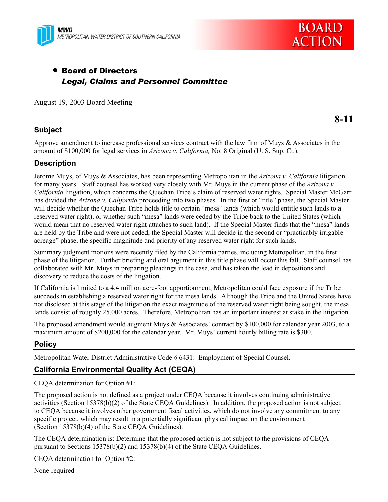



# • Board of Directors *Legal, Claims and Personnel Committee*

### August 19, 2003 Board Meeting

### **Subject**

**8-11** 

Approve amendment to increase professional services contract with the law firm of Muys & Associates in the amount of \$100,000 for legal services in *Arizona v. California,* No. 8 Original (U. S. Sup. Ct.).

# **Description**

Jerome Muys, of Muys & Associates, has been representing Metropolitan in the *Arizona v. California* litigation for many years. Staff counsel has worked very closely with Mr. Muys in the current phase of the *Arizona v. California* litigation, which concerns the Quechan Tribe's claim of reserved water rights. Special Master McGarr has divided the *Arizona v. California* proceeding into two phases. In the first or "title" phase, the Special Master will decide whether the Quechan Tribe holds title to certain "mesa" lands (which would entitle such lands to a reserved water right), or whether such "mesa" lands were ceded by the Tribe back to the United States (which would mean that no reserved water right attaches to such land). If the Special Master finds that the "mesa" lands are held by the Tribe and were not ceded, the Special Master will decide in the second or "practicably irrigable acreage" phase, the specific magnitude and priority of any reserved water right for such lands.

Summary judgment motions were recently filed by the California parties, including Metropolitan, in the first phase of the litigation. Further briefing and oral argument in this title phase will occur this fall. Staff counsel has collaborated with Mr. Muys in preparing pleadings in the case, and has taken the lead in depositions and discovery to reduce the costs of the litigation.

If California is limited to a 4.4 million acre-foot apportionment, Metropolitan could face exposure if the Tribe succeeds in establishing a reserved water right for the mesa lands. Although the Tribe and the United States have not disclosed at this stage of the litigation the exact magnitude of the reserved water right being sought, the mesa lands consist of roughly 25,000 acres. Therefore, Metropolitan has an important interest at stake in the litigation.

The proposed amendment would augment Muys & Associates' contract by \$100,000 for calendar year 2003, to a maximum amount of \$200,000 for the calendar year. Mr. Muys' current hourly billing rate is \$300.

### **Policy**

Metropolitan Water District Administrative Code § 6431: Employment of Special Counsel.

# **California Environmental Quality Act (CEQA)**

CEQA determination for Option #1:

The proposed action is not defined as a project under CEQA because it involves continuing administrative activities (Section 15378(b)(2) of the State CEQA Guidelines). In addition, the proposed action is not subject to CEQA because it involves other government fiscal activities, which do not involve any commitment to any specific project, which may result in a potentially significant physical impact on the environment (Section 15378(b)(4) of the State CEQA Guidelines).

The CEQA determination is: Determine that the proposed action is not subject to the provisions of CEQA pursuant to Sections 15378(b)(2) and 15378(b)(4) of the State CEQA Guidelines.

CEQA determination for Option #2:

None required